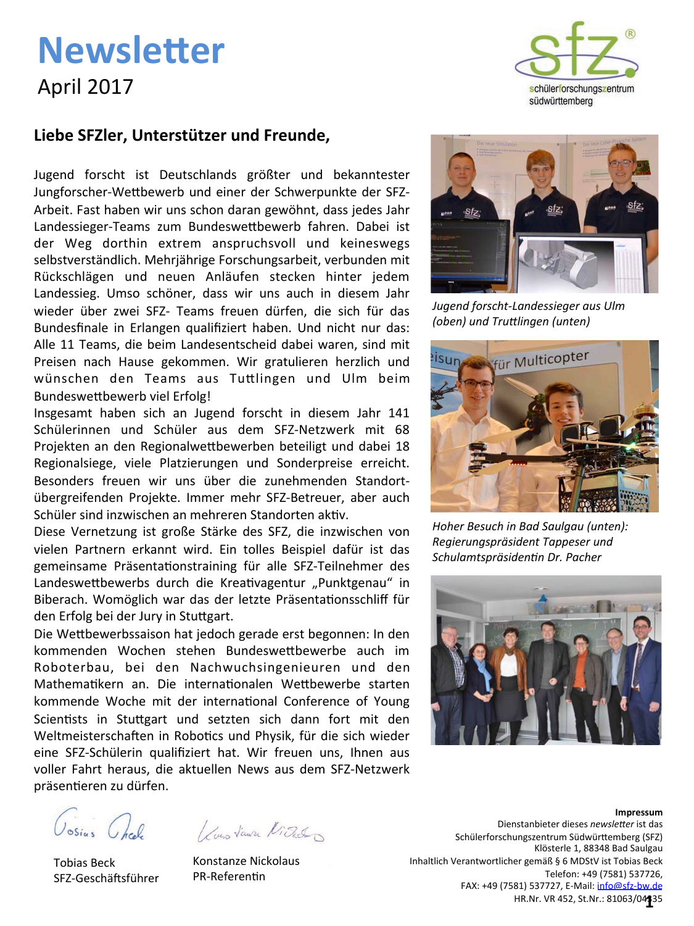

### Liebe SFZler, Unterstützer und Freunde,

Jugend forscht ist Deutschlands größter und bekanntester Jungforscher-Wettbewerb und einer der Schwerpunkte der SFZ-Arbeit. Fast haben wir uns schon daran gewöhnt, dass jedes Jahr Landessieger-Teams zum Bundeswettbewerb fahren. Dabei ist der Weg dorthin extrem anspruchsvoll und keineswegs selbstverständlich. Mehrjährige Forschungsarbeit, verbunden mit Rückschlägen und neuen Anläufen stecken hinter jedem Landessieg. Umso schöner, dass wir uns auch in diesem Jahr wieder über zwei SFZ- Teams freuen dürfen, die sich für das Bundesfinale in Erlangen qualifiziert haben. Und nicht nur das: Alle 11 Teams, die beim Landesentscheid dabei waren, sind mit Preisen nach Hause gekommen. Wir gratulieren herzlich und wünschen den Teams aus Tuttlingen und Ulm beim Bundeswettbewerb viel Erfolg!

Insgesamt haben sich an Jugend forscht in diesem Jahr 141 Schülerinnen und Schüler aus dem SFZ-Netzwerk mit 68 Projekten an den Regionalwettbewerben beteiligt und dabei 18 Regionalsiege, viele Platzierungen und Sonderpreise erreicht. Besonders freuen wir uns über die zunehmenden Standortübergreifenden Projekte. Immer mehr SFZ-Betreuer, aber auch Schüler sind inzwischen an mehreren Standorten aktiv.

Diese Vernetzung ist große Stärke des SFZ, die inzwischen von vielen Partnern erkannt wird. Ein tolles Beispiel dafür ist das gemeinsame Präsentationstraining für alle SFZ-Teilnehmer des Landeswettbewerbs durch die Kreativagentur "Punktgenau" in Biberach. Womöglich war das der letzte Präsentationsschliff für den Erfolg bei der Jury in Stuttgart.

Die Wettbewerbssaison hat jedoch gerade erst begonnen: In den kommenden Wochen stehen Bundeswettbewerbe auch im Roboterbau, bei den Nachwuchsingenieuren und den Mathematikern an. Die internationalen Wettbewerbe starten kommende Woche mit der international Conference of Young Scientists in Stuttgart und setzten sich dann fort mit den Weltmeisterschaften in Robotics und Physik, für die sich wieder eine SFZ-Schülerin qualifiziert hat. Wir freuen uns, Ihnen aus voller Fahrt heraus, die aktuellen News aus dem SFZ-Netzwerk präsentieren zu dürfen.

Josius Chel

1 Louis Vaure Video

**Tobias Beck** SFZ-Geschäftsführer

Konstanze Nickolaus PR-Referentin



Jugend forscht-Landessieger aus Ulm (oben) und Truttlingen (unten)



Hoher Besuch in Bad Saulgau (unten): Regierungspräsident Tappeser und Schulamtspräsidentin Dr. Pacher



Impressum Dienstanbieter dieses newsletter ist das Schülerforschungszentrum Südwürttemberg (SFZ) Klösterle 1, 88348 Bad Saulgau Inhaltlich Verantwortlicher gemäß § 6 MDStV ist Tobias Beck Telefon: +49 (7581) 537726, FAX: +49 (7581) 537727, E-Mail: info@sfz-bw.de HR.Nr. VR 452, St.Nr.: 81063/04335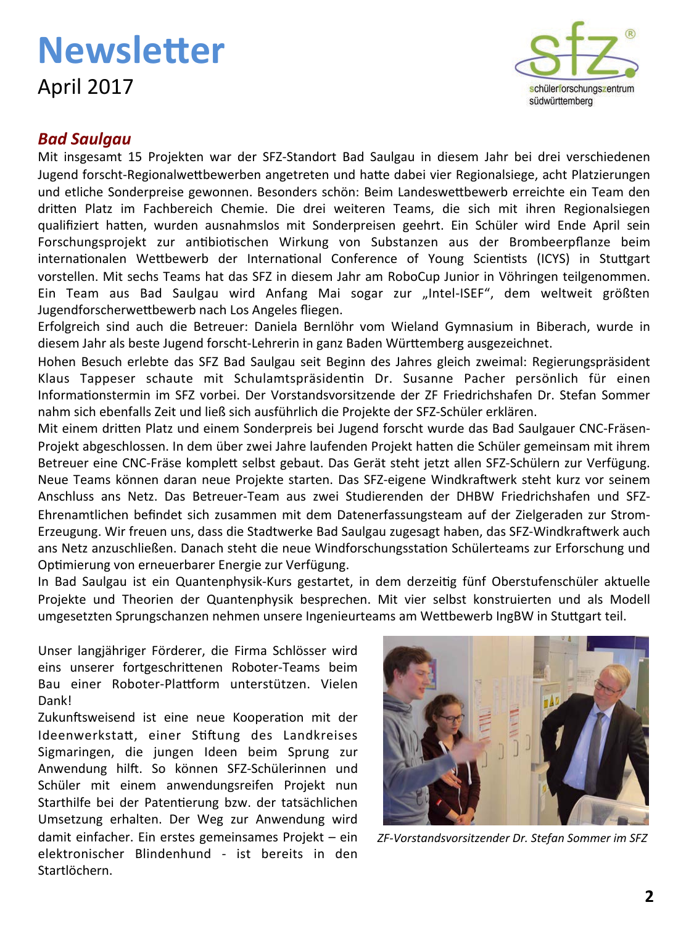

### **Bad Saulgau**

Mit insgesamt 15 Projekten war der SFZ-Standort Bad Saulgau in diesem Jahr bei drei verschiedenen Jugend forscht-Regionalwettbewerben angetreten und hatte dabei vier Regionalsiege, acht Platzierungen und etliche Sonderpreise gewonnen. Besonders schön: Beim Landeswettbewerb erreichte ein Team den dritten Platz im Fachbereich Chemie. Die drei weiteren Teams, die sich mit ihren Regionalsiegen qualifiziert hatten, wurden ausnahmslos mit Sonderpreisen geehrt. Ein Schüler wird Ende April sein Forschungsprojekt zur antibiotischen Wirkung von Substanzen aus der Brombeerpflanze beim internationalen Wettbewerb der International Conference of Young Scientists (ICYS) in Stuttgart vorstellen. Mit sechs Teams hat das SFZ in diesem Jahr am RoboCup Junior in Vöhringen teilgenommen. Ein Team aus Bad Saulgau wird Anfang Mai sogar zur "Intel-ISEF", dem weltweit größten Jugendforscherwettbewerb nach Los Angeles fliegen.

Erfolgreich sind auch die Betreuer: Daniela Bernlöhr vom Wieland Gymnasium in Biberach, wurde in diesem Jahr als beste Jugend forscht-Lehrerin in ganz Baden Württemberg ausgezeichnet.

Hohen Besuch erlebte das SFZ Bad Saulgau seit Beginn des Jahres gleich zweimal: Regierungspräsident Klaus Tappeser schaute mit Schulamtspräsidentin Dr. Susanne Pacher persönlich für einen Informationstermin im SFZ vorbei. Der Vorstandsvorsitzende der ZF Friedrichshafen Dr. Stefan Sommer nahm sich ebenfalls Zeit und ließ sich ausführlich die Projekte der SFZ-Schüler erklären.

Mit einem dritten Platz und einem Sonderpreis bei Jugend forscht wurde das Bad Saulgauer CNC-Fräsen-Projekt abgeschlossen. In dem über zwei Jahre laufenden Projekt hatten die Schüler gemeinsam mit ihrem Betreuer eine CNC-Fräse komplett selbst gebaut. Das Gerät steht jetzt allen SFZ-Schülern zur Verfügung. Neue Teams können daran neue Projekte starten. Das SFZ-eigene Windkraftwerk steht kurz vor seinem Anschluss ans Netz. Das Betreuer-Team aus zwei Studierenden der DHBW Friedrichshafen und SFZ-Ehrenamtlichen befindet sich zusammen mit dem Datenerfassungsteam auf der Zielgeraden zur Strom-Erzeugung. Wir freuen uns, dass die Stadtwerke Bad Saulgau zugesagt haben, das SFZ-Windkraftwerk auch ans Netz anzuschließen. Danach steht die neue Windforschungsstation Schülerteams zur Erforschung und Optimierung von erneuerbarer Energie zur Verfügung.

In Bad Saulgau ist ein Quantenphysik-Kurs gestartet, in dem derzeitig fünf Oberstufenschüler aktuelle Projekte und Theorien der Quantenphysik besprechen. Mit vier selbst konstruierten und als Modell umgesetzten Sprungschanzen nehmen unsere Ingenieurteams am Wettbewerb IngBW in Stuttgart teil.

Unser langjähriger Förderer, die Firma Schlösser wird eins unserer fortgeschrittenen Roboter-Teams beim Bau einer Roboter-Plattform unterstützen. Vielen Dank!

Zukunftsweisend ist eine neue Kooperation mit der Ideenwerkstatt, einer Stiftung des Landkreises Sigmaringen, die jungen Ideen beim Sprung zur Anwendung hilft. So können SFZ-Schülerinnen und Schüler mit einem anwendungsreifen Projekt nun Starthilfe bei der Patentierung bzw. der tatsächlichen Umsetzung erhalten. Der Weg zur Anwendung wird damit einfacher. Ein erstes gemeinsames Projekt - ein elektronischer Blindenhund - ist bereits in den Startlöchern.



ZF-Vorstandsvorsitzender Dr. Stefan Sommer im SFZ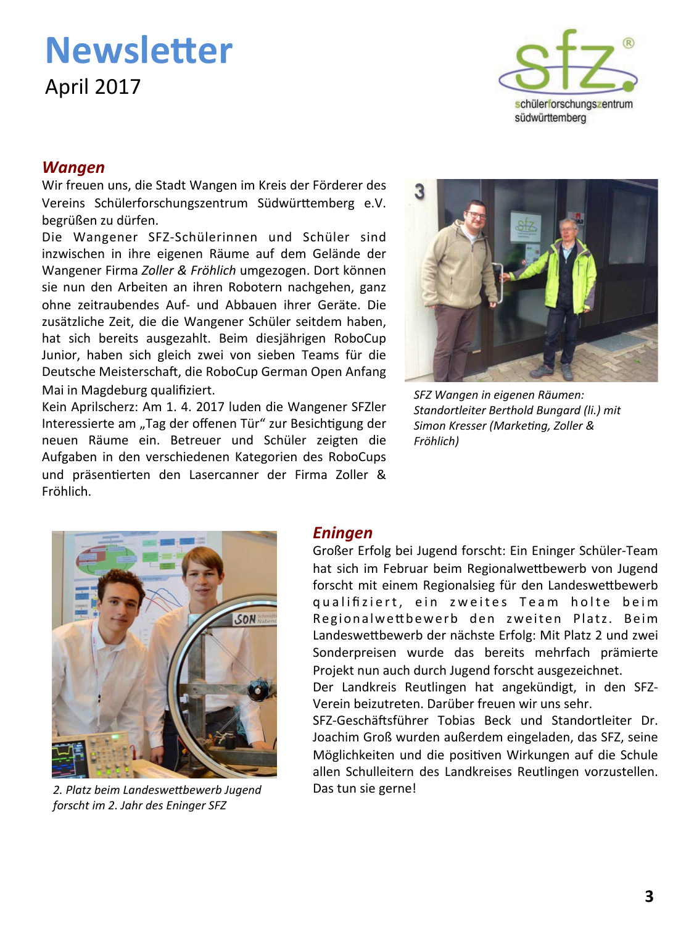

### **Wangen**

Wir freuen uns, die Stadt Wangen im Kreis der Förderer des Vereins Schülerforschungszentrum Südwürttemberg e.V. begrüßen zu dürfen.

Die Wangener SFZ-Schülerinnen und Schüler sind inzwischen in ihre eigenen Räume auf dem Gelände der Wangener Firma Zoller & Fröhlich umgezogen. Dort können sie nun den Arbeiten an ihren Robotern nachgehen, ganz ohne zeitraubendes Auf- und Abbauen ihrer Geräte. Die zusätzliche Zeit, die die Wangener Schüler seitdem haben, hat sich bereits ausgezahlt. Beim diesjährigen RoboCup Junior, haben sich gleich zwei von sieben Teams für die Deutsche Meisterschaft, die RoboCup German Open Anfang Mai in Magdeburg qualifiziert.

Kein Aprilscherz: Am 1. 4. 2017 luden die Wangener SFZler Interessierte am "Tag der offenen Tür" zur Besichtigung der neuen Räume ein. Betreuer und Schüler zeigten die Aufgaben in den verschiedenen Kategorien des RoboCups und präsentierten den Lasercanner der Firma Zoller & Fröhlich.



SFZ Wangen in eigenen Räumen: Standortleiter Berthold Bungard (li.) mit Simon Kresser (Marketing, Zoller & Fröhlich)



2. Platz beim Landeswettbewerb Jugend forscht im 2. Jahr des Eninger SFZ

#### **Eningen**

Großer Erfolg bei Jugend forscht: Ein Eninger Schüler-Team hat sich im Februar beim Regionalwettbewerb von Jugend forscht mit einem Regionalsieg für den Landeswettbewerb qualifiziert, ein zweites Team holte beim Regionalwettbewerb den zweiten Platz. Beim Landeswettbewerb der nächste Erfolg: Mit Platz 2 und zwei Sonderpreisen wurde das bereits mehrfach prämierte Projekt nun auch durch Jugend forscht ausgezeichnet.

Der Landkreis Reutlingen hat angekündigt, in den SFZ-Verein beizutreten. Darüber freuen wir uns sehr.

SFZ-Geschäftsführer Tobias Beck und Standortleiter Dr. Joachim Groß wurden außerdem eingeladen, das SFZ, seine Möglichkeiten und die positiven Wirkungen auf die Schule allen Schulleitern des Landkreises Reutlingen vorzustellen. Das tun sie gerne!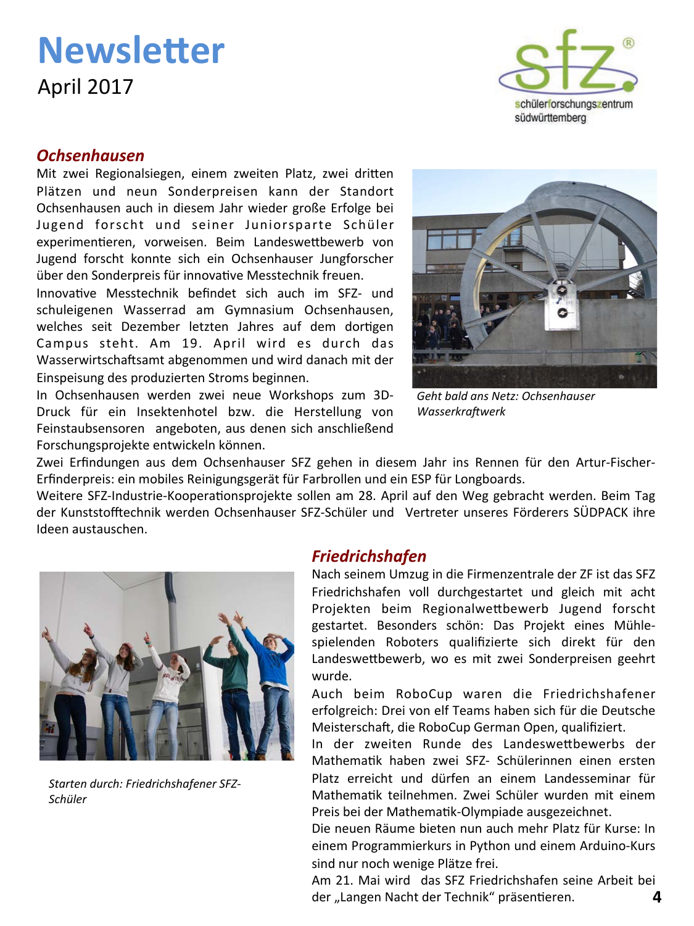

#### **Ochsenhausen**

Mit zwei Regionalsiegen, einem zweiten Platz, zwei dritten Plätzen und neun Sonderpreisen kann der Standort Ochsenhausen auch in diesem Jahr wieder große Erfolge bei Jugend forscht und seiner Juniorsparte Schüler experimentieren, vorweisen. Beim Landeswettbewerb von Jugend forscht konnte sich ein Ochsenhauser Jungforscher über den Sonderpreis für innovative Messtechnik freuen.

Innovative Messtechnik befindet sich auch im SFZ- und schuleigenen Wasserrad am Gymnasium Ochsenhausen, welches seit Dezember letzten Jahres auf dem dortigen Campus steht. Am 19. April wird es durch das Wasserwirtschaftsamt abgenommen und wird danach mit der Einspeisung des produzierten Stroms beginnen.

In Ochsenhausen werden zwei neue Workshops zum 3D-Druck für ein Insektenhotel bzw. die Herstellung von Feinstaubsensoren angeboten, aus denen sich anschließend Forschungsprojekte entwickeln können.



Geht bald ans Netz: Ochsenhauser Wasserkraftwerk

Zwei Erfindungen aus dem Ochsenhauser SFZ gehen in diesem Jahr ins Rennen für den Artur-Fischer-Erfinderpreis: ein mobiles Reinigungsgerät für Farbrollen und ein ESP für Longboards.

Weitere SFZ-Industrie-Kooperationsprojekte sollen am 28. April auf den Weg gebracht werden. Beim Tag der Kunststofftechnik werden Ochsenhauser SFZ-Schüler und Vertreter unseres Förderers SÜDPACK ihre Ideen austauschen.



Starten durch: Friedrichshafener SFZ-Schüler

#### **Friedrichshafen**

Nach seinem Umzug in die Firmenzentrale der ZF ist das SFZ Friedrichshafen voll durchgestartet und gleich mit acht Projekten beim Regionalwettbewerb Jugend forscht gestartet. Besonders schön: Das Projekt eines Mühlespielenden Roboters qualifizierte sich direkt für den Landeswettbewerb, wo es mit zwei Sonderpreisen geehrt wurde.

Auch beim RoboCup waren die Friedrichshafener erfolgreich: Drei von elf Teams haben sich für die Deutsche Meisterschaft, die RoboCup German Open, qualifiziert.

In der zweiten Runde des Landeswettbewerbs der Mathematik haben zwei SF7- Schülerinnen einen ersten Platz erreicht und dürfen an einem Landesseminar für Mathematik teilnehmen. Zwei Schüler wurden mit einem Preis bei der Mathematik-Olympiade ausgezeichnet.

Die neuen Räume bieten nun auch mehr Platz für Kurse: In einem Programmierkurs in Python und einem Arduino-Kurs sind nur noch wenige Plätze frei.

Am 21. Mai wird das SFZ Friedrichshafen seine Arbeit bei der "Langen Nacht der Technik" präsentieren. 4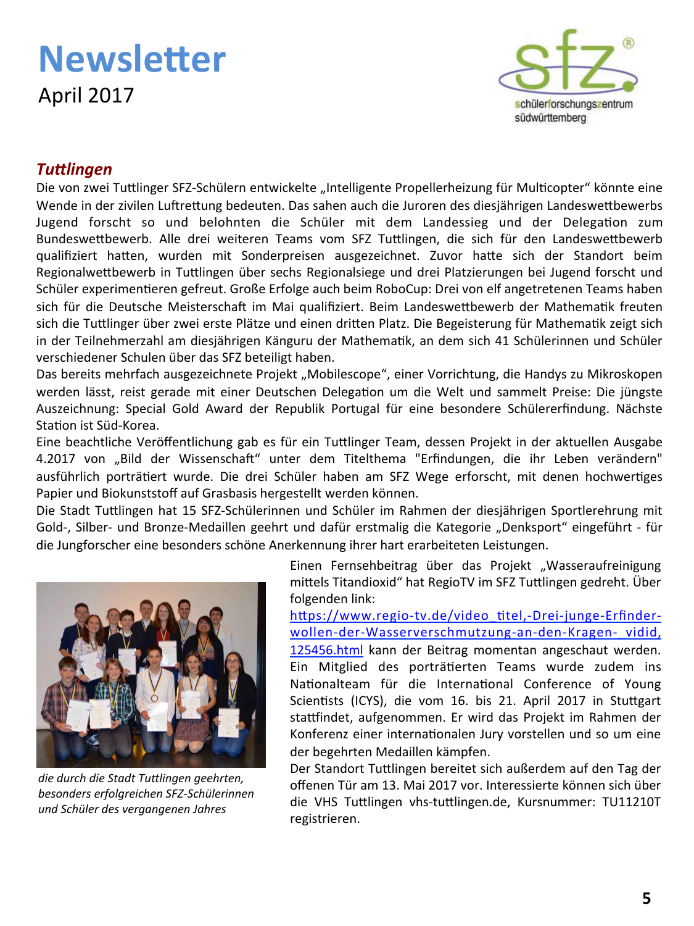

### **Tuttlingen**

Die von zwei Tuttlinger SFZ-Schülern entwickelte "Intelligente Propellerheizung für Multicopter" könnte eine Wende in der zivilen Luftrettung bedeuten. Das sahen auch die Juroren des diesjährigen Landeswettbewerbs Jugend forscht so und belohnten die Schüler mit dem Landessieg und der Delegation zum Bundeswettbewerb. Alle drei weiteren Teams vom SFZ Tuttlingen, die sich für den Landeswettbewerb qualifiziert hatten, wurden mit Sonderpreisen ausgezeichnet. Zuvor hatte sich der Standort beim Regionalwettbewerb in Tuttlingen über sechs Regionalsiege und drei Platzierungen bei Jugend forscht und Schüler experimentieren gefreut. Große Erfolge auch beim RoboCup: Drei von elf angetretenen Teams haben sich für die Deutsche Meisterschaft im Mai qualifiziert. Beim Landeswettbewerb der Mathematik freuten sich die Tuttlinger über zwei erste Plätze und einen dritten Platz. Die Begeisterung für Mathematik zeigt sich in der Teilnehmerzahl am diesjährigen Känguru der Mathematik, an dem sich 41 Schülerinnen und Schüler verschiedener Schulen über das SFZ beteiligt haben.

Das bereits mehrfach ausgezeichnete Projekt "Mobilescope", einer Vorrichtung, die Handys zu Mikroskopen werden lässt, reist gerade mit einer Deutschen Delegation um die Welt und sammelt Preise: Die jüngste Auszeichnung: Special Gold Award der Republik Portugal für eine besondere Schülererfindung. Nächste Station ist Süd-Korea.

Eine beachtliche Veröffentlichung gab es für ein Tuttlinger Team, dessen Projekt in der aktuellen Ausgabe 4.2017 von "Bild der Wissenschaft" unter dem Titelthema "Erfindungen, die ihr Leben verändern" ausführlich porträtiert wurde. Die drei Schüler haben am SFZ Wege erforscht, mit denen hochwertiges Papier und Biokunststoff auf Grasbasis hergestellt werden können.

Die Stadt Tuttlingen hat 15 SFZ-Schülerinnen und Schüler im Rahmen der diesjährigen Sportlerehrung mit Gold-, Silber- und Bronze-Medaillen geehrt und dafür erstmalig die Kategorie "Denksport" eingeführt - für die Jungforscher eine besonders schöne Anerkennung ihrer hart erarbeiteten Leistungen.



die durch die Stadt Tuttlingen geehrten, besonders erfolgreichen SFZ-Schülerinnen und Schüler des vergangenen Jahres

Einen Fernsehbeitrag über das Projekt "Wasseraufreinigung mittels Titandioxid" hat RegioTV im SFZ Tuttlingen gedreht. Über folgenden link:

https://www.regio-tv.de/video titel,-Drei-junge-Erfinderwollen-der-Wasserverschmutzung-an-den-Kragen- vidid, 125456.html kann der Beitrag momentan angeschaut werden. Ein Mitglied des porträtierten Teams wurde zudem ins Nationalteam für die International Conference of Young Scientists (ICYS), die vom 16. bis 21. April 2017 in Stuttgart stattfindet, aufgenommen. Er wird das Projekt im Rahmen der Konferenz einer internationalen Jury vorstellen und so um eine der begehrten Medaillen kämpfen.

Der Standort Tuttlingen bereitet sich außerdem auf den Tag der offenen Tür am 13. Mai 2017 vor. Interessierte können sich über die VHS Tuttlingen vhs-tuttlingen.de, Kursnummer: TU11210T registrieren.